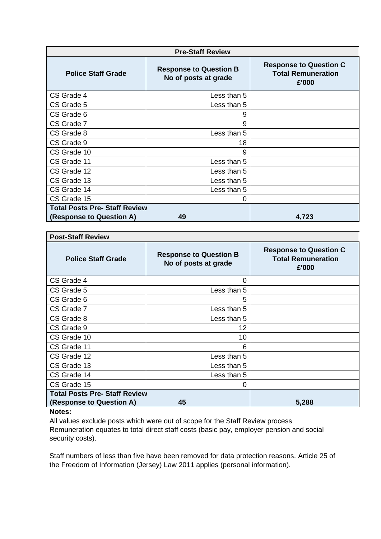| <b>Pre-Staff Review</b>              |                                                       |                                                                     |  |
|--------------------------------------|-------------------------------------------------------|---------------------------------------------------------------------|--|
| <b>Police Staff Grade</b>            | <b>Response to Question B</b><br>No of posts at grade | <b>Response to Question C</b><br><b>Total Remuneration</b><br>£'000 |  |
| CS Grade 4                           | Less than 5                                           |                                                                     |  |
| CS Grade 5                           | Less than 5                                           |                                                                     |  |
| CS Grade 6                           | 9                                                     |                                                                     |  |
| CS Grade 7                           | 9                                                     |                                                                     |  |
| CS Grade 8                           | Less than 5                                           |                                                                     |  |
| CS Grade 9                           | 18                                                    |                                                                     |  |
| CS Grade 10                          | 9                                                     |                                                                     |  |
| CS Grade 11                          | Less than 5                                           |                                                                     |  |
| CS Grade 12                          | Less than 5                                           |                                                                     |  |
| CS Grade 13                          | Less than 5                                           |                                                                     |  |
| CS Grade 14                          | Less than 5                                           |                                                                     |  |
| CS Grade 15                          | 0                                                     |                                                                     |  |
| <b>Total Posts Pre- Staff Review</b> |                                                       |                                                                     |  |
| (Response to Question A)             | 49                                                    | 4,723                                                               |  |

| <b>Post-Staff Review</b>             |                                                       |                                                                     |  |
|--------------------------------------|-------------------------------------------------------|---------------------------------------------------------------------|--|
| <b>Police Staff Grade</b>            | <b>Response to Question B</b><br>No of posts at grade | <b>Response to Question C</b><br><b>Total Remuneration</b><br>£'000 |  |
| CS Grade 4                           | 0                                                     |                                                                     |  |
| CS Grade 5                           | Less than 5                                           |                                                                     |  |
| CS Grade 6                           | 5                                                     |                                                                     |  |
| CS Grade 7                           | Less than 5                                           |                                                                     |  |
| CS Grade 8                           | Less than 5                                           |                                                                     |  |
| CS Grade 9                           | 12                                                    |                                                                     |  |
| CS Grade 10                          | 10 <sup>1</sup>                                       |                                                                     |  |
| CS Grade 11                          | 6                                                     |                                                                     |  |
| CS Grade 12                          | Less than 5                                           |                                                                     |  |
| CS Grade 13                          | Less than 5                                           |                                                                     |  |
| CS Grade 14                          | Less than 5                                           |                                                                     |  |
| CS Grade 15                          | 0                                                     |                                                                     |  |
| <b>Total Posts Pre- Staff Review</b> |                                                       |                                                                     |  |
| (Response to Question A)             | 45                                                    | 5,288                                                               |  |
| $N = 1 - 1$                          |                                                       |                                                                     |  |

## **Notes:**

All values exclude posts which were out of scope for the Staff Review process Remuneration equates to total direct staff costs (basic pay, employer pension and social security costs).

Staff numbers of less than five have been removed for data protection reasons. Article 25 of the Freedom of Information (Jersey) Law 2011 applies (personal information).